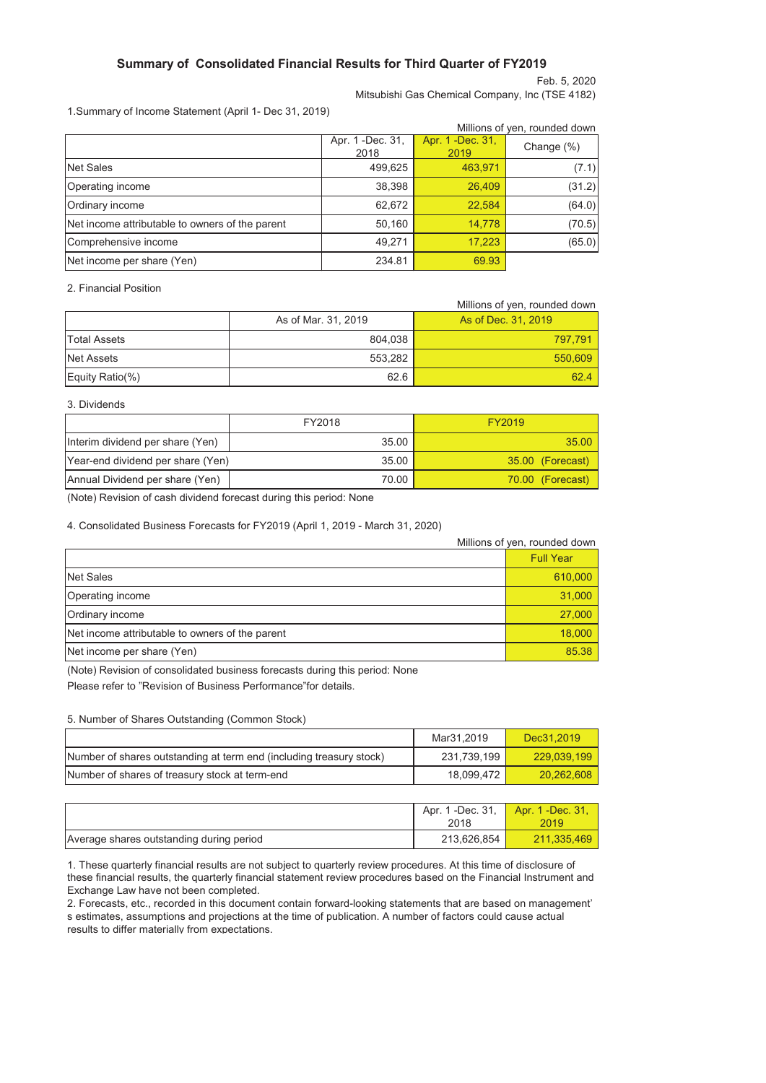## **Summary of Consolidated Financial Results for Third Quarter of FY2019**

Feb. 5, 2020 Mitsubishi Gas Chemical Company, Inc (TSE 4182)

1.Summary of Income Statement (April 1- Dec 31, 2019)

|                                                 | Millions of yen, rounded down |                           |            |  |  |
|-------------------------------------------------|-------------------------------|---------------------------|------------|--|--|
|                                                 | Apr. 1 - Dec. 31,<br>2018     | Apr. 1 - Dec. 31,<br>2019 | Change (%) |  |  |
| Net Sales                                       | 499,625                       | 463,971                   | (7.1)      |  |  |
| Operating income                                | 38,398                        | 26,409                    | (31.2)     |  |  |
| Ordinary income                                 | 62,672                        | 22,584                    | (64.0)     |  |  |
| Net income attributable to owners of the parent | 50,160                        | 14,778                    | (70.5)     |  |  |
| Comprehensive income                            | 49,271                        | 17,223                    | (65.0)     |  |  |
| Net income per share (Yen)                      | 234.81                        | 69.93                     |            |  |  |

2. Financial Position

|                     |                     | Millions of yen, rounded down |
|---------------------|---------------------|-------------------------------|
|                     | As of Mar. 31, 2019 | As of Dec. 31, 2019           |
| <b>Total Assets</b> | 804.038             | 797.791                       |
| Net Assets          | 553.282             | 550,609                       |
| Equity Ratio(%)     | 62.6                | 62.4                          |

3. Dividends

|                                   | FY2018 | FY2019           |
|-----------------------------------|--------|------------------|
| Interim dividend per share (Yen)  | 35.00  | 35.00            |
| Year-end dividend per share (Yen) | 35.00  | 35.00 (Forecast) |
| Annual Dividend per share (Yen)   | 70.00  | 70.00 (Forecast) |

(Note) Revision of cash dividend forecast during this period: None

4. Consolidated Business Forecasts for FY2019 (April 1, 2019 - March 31, 2020)

|                                                 | Millions of yen, rounded down |
|-------------------------------------------------|-------------------------------|
|                                                 | <b>Full Year</b>              |
| Net Sales                                       | 610,000                       |
| Operating income                                | 31,000                        |
| Ordinary income                                 | 27,000                        |
| Net income attributable to owners of the parent | 18,000                        |
| Net income per share (Yen)                      | 85.38                         |

(Note) Revision of consolidated business forecasts during this period: None

Please refer to "Revision of Business Performance"for details.

### 5. Number of Shares Outstanding (Common Stock)

|                                                                     | Mar31.2019  | Dec31.2019  |
|---------------------------------------------------------------------|-------------|-------------|
| Number of shares outstanding at term end (including treasury stock) | 231.739.199 | 229.039.199 |
| Number of shares of treasury stock at term-end                      | 18.099.472  | 20,262,608  |

|                                          | Apr. 1 -Dec. 31, | Apr. 1 -Dec. 31, |  |
|------------------------------------------|------------------|------------------|--|
|                                          | 2018             | 2019             |  |
| Average shares outstanding during period | 213.626.854      | 211.335.469      |  |

1. These quarterly financial results are not subject to quarterly review procedures. At this time of disclosure of these financial results, the quarterly financial statement review procedures based on the Financial Instrument and Exchange Law have not been completed.

2. Forecasts, etc., recorded in this document contain forward-looking statements that are based on management' s estimates, assumptions and projections at the time of publication. A number of factors could cause actual results to differ materially from expectations.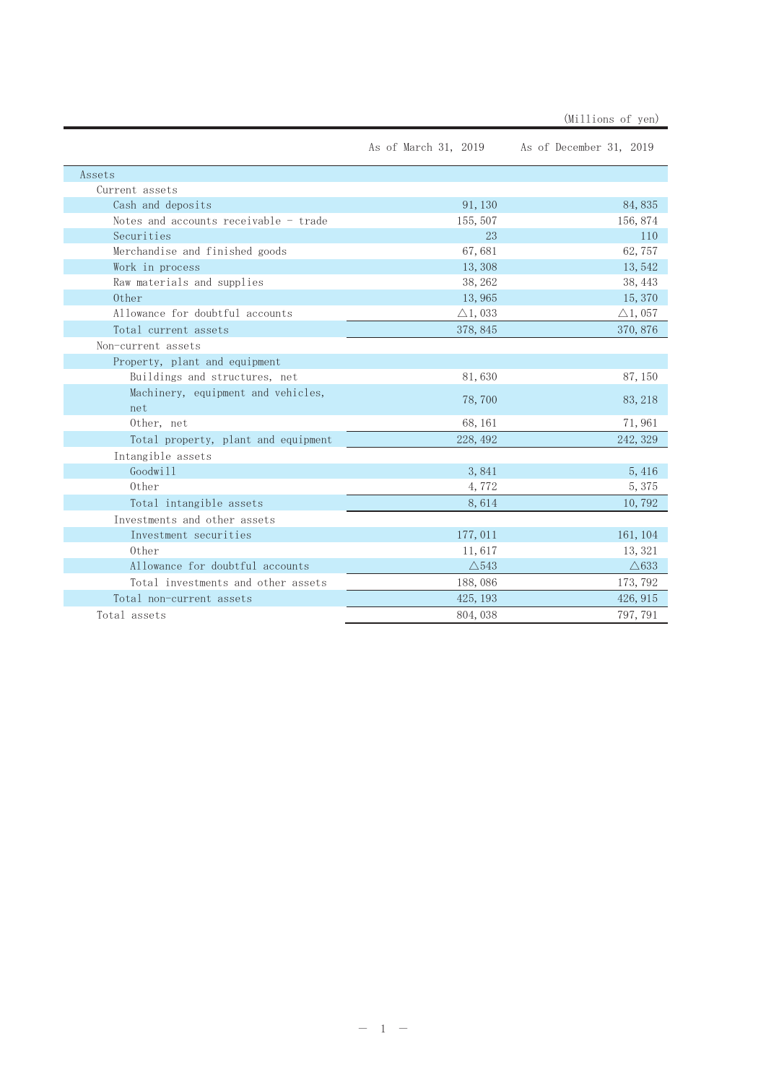|                                       |                    | As of March 31, 2019 As of December 31, 2019 |
|---------------------------------------|--------------------|----------------------------------------------|
| Assets                                |                    |                                              |
| Current assets                        |                    |                                              |
| Cash and deposits                     | 91, 130            | 84,835                                       |
| Notes and accounts receivable - trade | 155, 507           | 156, 874                                     |
| Securities                            | 23                 | 110                                          |
| Merchandise and finished goods        | 67,681             | 62,757                                       |
| Work in process                       | 13,308             | 13, 542                                      |
| Raw materials and supplies            | 38, 262            | 38, 443                                      |
| 0ther                                 | 13,965             | 15, 370                                      |
| Allowance for doubtful accounts       | $\triangle$ 1, 033 | $\triangle$ 1, 057                           |
| Total current assets                  | 378, 845           | 370, 876                                     |
| Non-current assets                    |                    |                                              |
| Property, plant and equipment         |                    |                                              |
| Buildings and structures, net         | 81,630             | 87, 150                                      |
| Machinery, equipment and vehicles,    | 78,700             | 83, 218                                      |
| net                                   |                    |                                              |
| Other, net                            | 68, 161            | 71,961                                       |
| Total property, plant and equipment   | 228, 492           | 242, 329                                     |
| Intangible assets                     |                    |                                              |
| Goodwill                              | 3,841              | 5,416                                        |
| 0ther                                 | 4,772              | 5,375                                        |
| Total intangible assets               | 8,614              | 10,792                                       |
| Investments and other assets          |                    |                                              |
| Investment securities                 | 177, 011           | 161, 104                                     |
| 0ther                                 | 11,617             | 13, 321                                      |
| Allowance for doubtful accounts       | $\triangle$ 543    | $\triangle$ 633                              |
| Total investments and other assets    | 188,086            | 173, 792                                     |
| Total non-current assets              | 425, 193           | 426, 915                                     |
| Total assets                          | 804, 038           | 797, 791                                     |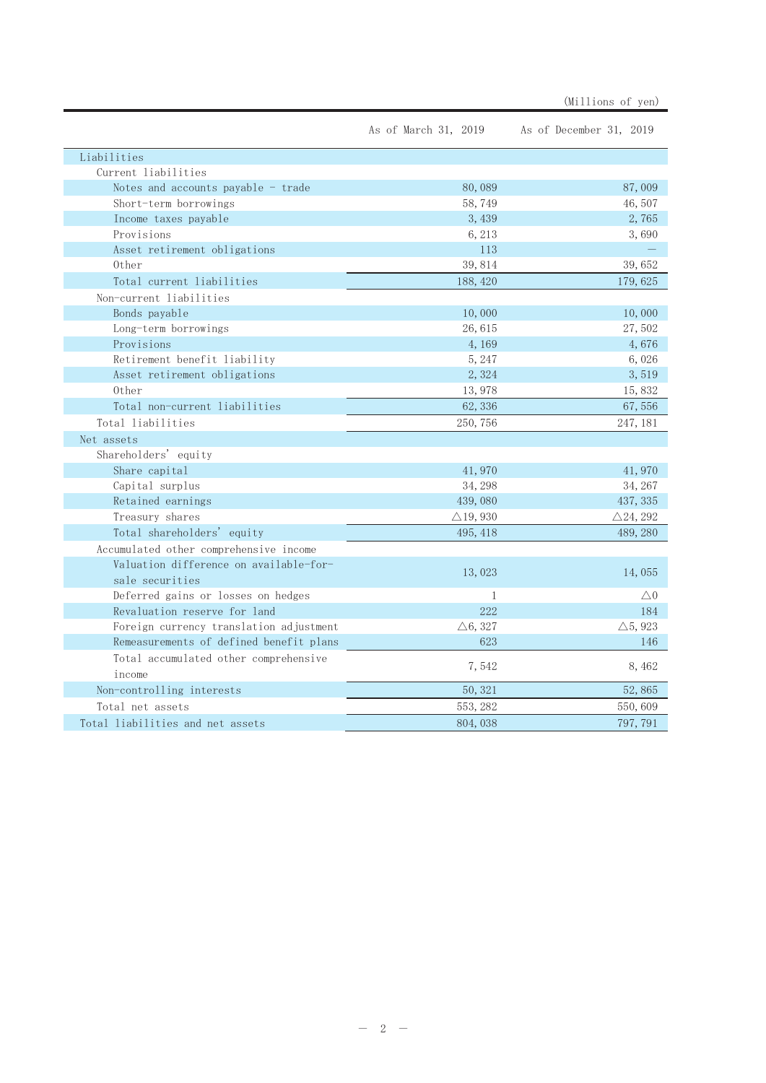|                                                           | As of March 31, 2019 | As of December 31, 2019 |
|-----------------------------------------------------------|----------------------|-------------------------|
| Liabilities                                               |                      |                         |
| Current liabilities                                       |                      |                         |
| Notes and accounts payable - trade                        | 80,089               | 87,009                  |
| Short-term borrowings                                     | 58,749               | 46,507                  |
| Income taxes payable                                      | 3,439                | 2,765                   |
| Provisions                                                | 6, 213               | 3,690                   |
| Asset retirement obligations                              | 113                  |                         |
| 0ther                                                     | 39,814               | 39,652                  |
| Total current liabilities                                 | 188, 420             | 179, 625                |
| Non-current liabilities                                   |                      |                         |
| Bonds payable                                             | 10,000               | 10,000                  |
| Long-term borrowings                                      | 26,615               | 27,502                  |
| Provisions                                                | 4,169                | 4,676                   |
| Retirement benefit liability                              | 5, 247               | 6,026                   |
| Asset retirement obligations                              | 2,324                | 3,519                   |
| 0ther                                                     | 13,978               | 15,832                  |
| Total non-current liabilities                             | 62, 336              | 67,556                  |
| Total liabilities                                         | 250, 756             | 247, 181                |
| Net assets                                                |                      |                         |
| Shareholders' equity                                      |                      |                         |
| Share capital                                             | 41,970               | 41,970                  |
| Capital surplus                                           | 34, 298              | 34, 267                 |
| Retained earnings                                         | 439,080              | 437, 335                |
| Treasury shares                                           | $\triangle$ 19, 930  | $\triangle 24, 292$     |
| Total shareholders' equity                                | 495, 418             | 489, 280                |
| Accumulated other comprehensive income                    |                      |                         |
| Valuation difference on available-for-<br>sale securities | 13,023               | 14,055                  |
| Deferred gains or losses on hedges                        | $\mathbf{1}$         | $\triangle 0$           |
| Revaluation reserve for land                              | 222                  | 184                     |
| Foreign currency translation adjustment                   | $\triangle 6, 327$   | $\triangle$ 5, 923      |
| Remeasurements of defined benefit plans                   | 623                  | 146                     |
| Total accumulated other comprehensive<br>income           | 7,542                | 8,462                   |
| Non-controlling interests                                 | 50, 321              | 52,865                  |
| Total net assets                                          | 553, 282             | 550,609                 |
| Total liabilities and net assets                          | 804, 038             | 797, 791                |

(Millions of yen)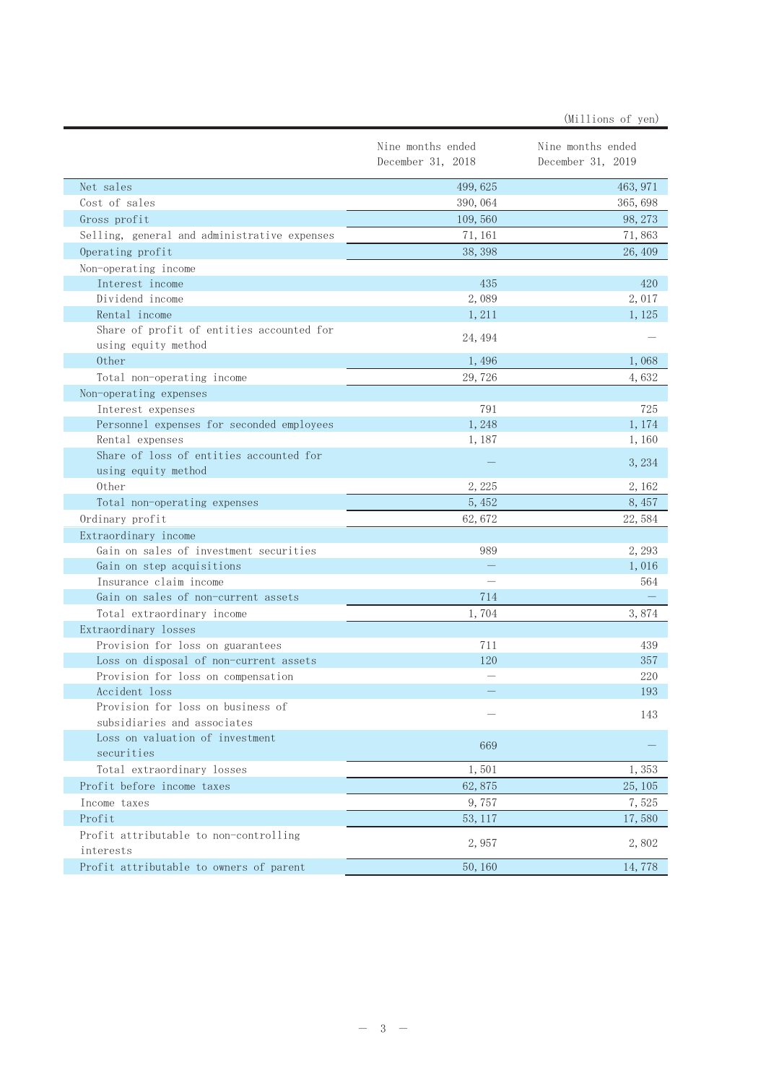|                                                                |                                        | (Millions of yen)                      |
|----------------------------------------------------------------|----------------------------------------|----------------------------------------|
|                                                                | Nine months ended<br>December 31, 2018 | Nine months ended<br>December 31, 2019 |
| Net sales                                                      | 499, 625                               | 463, 971                               |
| Cost of sales                                                  | 390, 064                               | 365, 698                               |
| Gross profit                                                   | 109,560                                | 98, 273                                |
| Selling, general and administrative expenses                   | 71, 161                                | 71,863                                 |
| Operating profit                                               | 38, 398                                | 26, 409                                |
| Non-operating income                                           |                                        |                                        |
| Interest income                                                | 435                                    | 420                                    |
| Dividend income                                                | 2,089                                  | 2,017                                  |
| Rental income                                                  | 1,211                                  | 1,125                                  |
| Share of profit of entities accounted for                      | 24, 494                                |                                        |
| using equity method                                            |                                        |                                        |
| 0ther                                                          | 1,496                                  | 1,068                                  |
| Total non-operating income                                     | 29,726                                 | 4,632                                  |
| Non-operating expenses                                         |                                        |                                        |
| Interest expenses                                              | 791                                    | 725                                    |
| Personnel expenses for seconded employees                      | 1,248                                  | 1,174                                  |
| Rental expenses                                                | 1,187                                  | 1,160                                  |
| Share of loss of entities accounted for<br>using equity method |                                        | 3, 234                                 |
| 0ther                                                          | 2,225                                  | 2, 162                                 |
| Total non-operating expenses                                   | 5,452                                  | 8,457                                  |
| Ordinary profit                                                | 62,672                                 | 22,584                                 |
| Extraordinary income                                           |                                        |                                        |
| Gain on sales of investment securities                         | 989                                    | 2, 293                                 |
| Gain on step acquisitions                                      |                                        | 1,016                                  |
| Insurance claim income                                         |                                        | 564                                    |
| Gain on sales of non-current assets                            | 714                                    |                                        |
| Total extraordinary income                                     | 1,704                                  | 3,874                                  |
| Extraordinary losses                                           |                                        |                                        |
| Provision for loss on guarantees                               | 711                                    | 439                                    |
| Loss on disposal of non-current assets                         | 120                                    | 357                                    |
| Provision for loss on compensation                             |                                        | 220                                    |
| Accident loss                                                  |                                        | 193                                    |
| Provision for loss on business of                              |                                        | 143                                    |
| subsidiaries and associates                                    |                                        |                                        |
| Loss on valuation of investment                                | 669                                    |                                        |
| securities                                                     |                                        |                                        |
| Total extraordinary losses                                     | 1,501                                  | 1,353                                  |
| Profit before income taxes                                     | 62,875                                 | 25, 105                                |
| Income taxes                                                   | 9,757                                  | 7,525                                  |
| Profit                                                         | 53, 117                                | 17,580                                 |
| Profit attributable to non-controlling<br>interests            | 2,957                                  | 2,802                                  |
| Profit attributable to owners of parent                        | 50, 160                                | 14,778                                 |
|                                                                |                                        |                                        |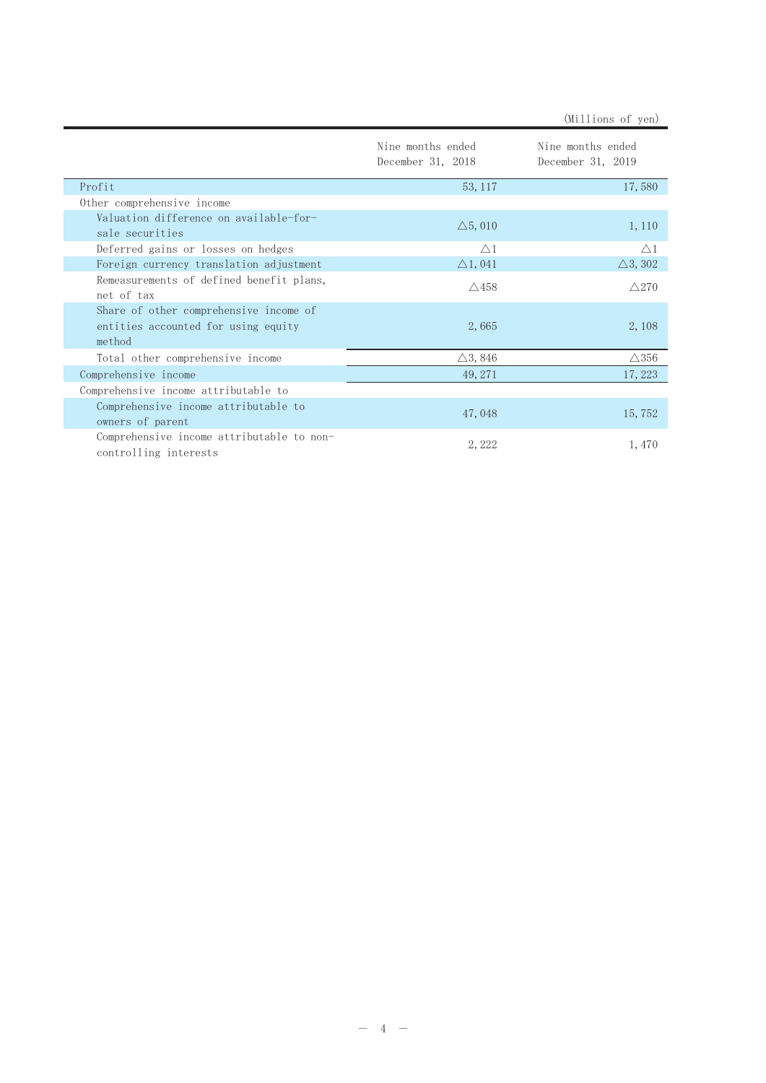|                                                                                         |                                        | (Millions of yen)                      |
|-----------------------------------------------------------------------------------------|----------------------------------------|----------------------------------------|
|                                                                                         | Nine months ended<br>December 31, 2018 | Nine months ended<br>December 31, 2019 |
| Profit                                                                                  | 53, 117                                | 17,580                                 |
| Other comprehensive income                                                              |                                        |                                        |
| Valuation difference on available-for-<br>sale securities                               | $\triangle$ 5,010                      | 1, 110                                 |
| Deferred gains or losses on hedges                                                      | $\triangle$ 1                          | $\wedge$ 1                             |
| Foreign currency translation adjustment                                                 | $\triangle$ 1, 041                     | $\triangle$ 3, 302                     |
| Remeasurements of defined benefit plans,<br>net of tax                                  | $\triangle$ 458                        | $\triangle$ 270                        |
| Share of other comprehensive income of<br>entities accounted for using equity<br>method | 2,665                                  | 2,108                                  |
| Total other comprehensive income                                                        | $\triangle$ 3, 846                     | $\triangle$ 356                        |
| Comprehensive income                                                                    | 49, 271                                | 17, 223                                |
| Comprehensive income attributable to                                                    |                                        |                                        |
| Comprehensive income attributable to<br>owners of parent                                | 47,048                                 | 15,752                                 |
| Comprehensive income attributable to non-<br>controlling interests                      | 2, 222                                 | 1,470                                  |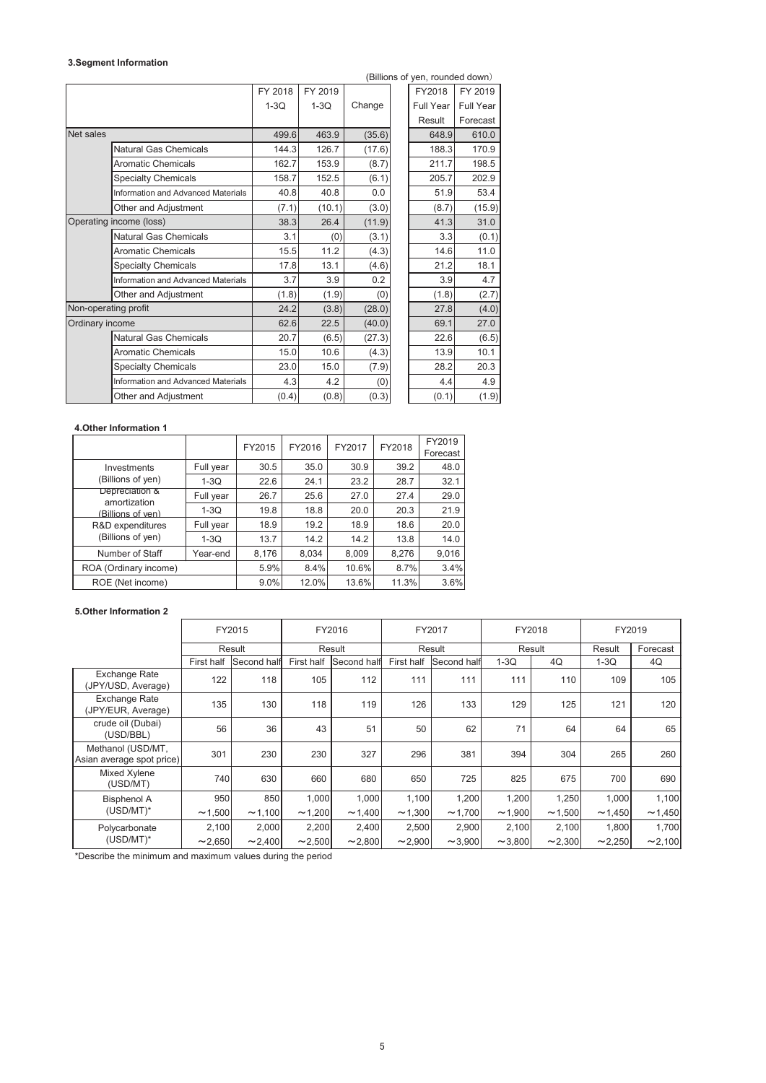#### **3.Segment Information**

|                         | (Billions of yen, rounded down)           |         |         |        |  |                  |           |
|-------------------------|-------------------------------------------|---------|---------|--------|--|------------------|-----------|
|                         |                                           | FY 2018 | FY 2019 |        |  | FY2018           | FY 2019   |
|                         |                                           | $1-3Q$  | $1-3Q$  | Change |  | <b>Full Year</b> | Full Year |
|                         |                                           |         |         |        |  | Result           | Forecast  |
| Net sales               |                                           | 499.6   | 463.9   | (35.6) |  | 648.9            | 610.0     |
|                         | <b>Natural Gas Chemicals</b>              | 144.3   | 126.7   | (17.6) |  | 188.3            | 170.9     |
|                         | <b>Aromatic Chemicals</b>                 | 162.7   | 153.9   | (8.7)  |  | 211.7            | 198.5     |
|                         | <b>Specialty Chemicals</b>                | 158.7   | 152.5   | (6.1)  |  | 205.7            | 202.9     |
|                         | <b>Information and Advanced Materials</b> | 40.8    | 40.8    | 0.0    |  | 51.9             | 53.4      |
|                         | Other and Adjustment                      | (7.1)   | (10.1)  | (3.0)  |  | (8.7)            | (15.9)    |
| Operating income (loss) |                                           | 38.3    | 26.4    | (11.9) |  | 41.3             | 31.0      |
|                         | <b>Natural Gas Chemicals</b>              | 3.1     | (0)     | (3.1)  |  | 3.3              | (0.1)     |
|                         | <b>Aromatic Chemicals</b>                 | 15.5    | 11.2    | (4.3)  |  | 14.6             | 11.0      |
|                         | <b>Specialty Chemicals</b>                | 17.8    | 13.1    | (4.6)  |  | 21.2             | 18.1      |
|                         | <b>Information and Advanced Materials</b> | 3.7     | 3.9     | 0.2    |  | 3.9              | 4.7       |
|                         | Other and Adjustment                      | (1.8)   | (1.9)   | (0)    |  | (1.8)            | (2.7)     |
| Non-operating profit    |                                           | 24.2    | (3.8)   | (28.0) |  | 27.8             | (4.0)     |
| Ordinary income         |                                           | 62.6    | 22.5    | (40.0) |  | 69.1             | 27.0      |
|                         | <b>Natural Gas Chemicals</b>              | 20.7    | (6.5)   | (27.3) |  | 22.6             | (6.5)     |
|                         | <b>Aromatic Chemicals</b>                 | 15.0    | 10.6    | (4.3)  |  | 13.9             | 10.1      |
|                         | <b>Specialty Chemicals</b>                | 23.0    | 15.0    | (7.9)  |  | 28.2             | 20.3      |
|                         | Information and Advanced Materials        | 4.3     | 4.2     | (0)    |  | 4.4              | 4.9       |
|                         | Other and Adjustment                      | (0.4)   | (0.8)   | (0.3)  |  | (0.1)            | (1.9)     |

### **4.Other Information 1**

|                                |           | FY2015  | FY2016 | FY2017 | FY2018 | FY2019   |
|--------------------------------|-----------|---------|--------|--------|--------|----------|
|                                |           |         |        |        |        | Forecast |
| Investments                    | Full year | 30.5    | 35.0   | 30.9   | 39.2   | 48.0     |
| (Billions of yen)              | $1-3Q$    | 22.6    | 24.1   | 23.2   | 28.7   | 32.1     |
| Depreciation &<br>amortization | Full year | 26.7    | 25.6   | 27.0   | 27.4   | 29.0     |
| (Billions of ven)              | $1-3Q$    | 19.8    | 18.8   | 20.0   | 20.3   | 21.9     |
| R&D expenditures               | Full year | 18.9    | 19.2   | 18.9   | 18.6   | 20.0     |
| (Billions of yen)              | $1-3Q$    | 13.7    | 14.2   | 14.2   | 13.8   | 14.0     |
| Number of Staff                | Year-end  | 8,176   | 8,034  | 8,009  | 8,276  | 9,016    |
| ROA (Ordinary income)          |           | 5.9%    | 8.4%   | 10.6%  | 8.7%   | 3.4%     |
| ROE (Net income)               |           | $9.0\%$ | 12.0%  | 13.6%  | 11.3%  | 3.6%     |

### **5.Other Information 2**

|                                                |            | FY2015<br>FY2016<br>FY2017 |              |             | FY2018     |              | FY2019       |              |              |          |
|------------------------------------------------|------------|----------------------------|--------------|-------------|------------|--------------|--------------|--------------|--------------|----------|
|                                                |            | Result                     | Result       |             | Result     |              | Result       |              | Result       | Forecast |
|                                                | First half | Second half                | First half   | Second half | First half | Second half  | $1-3Q$       | 4Q           | $1-3Q$       | 4Q       |
| Exchange Rate<br>(JPY/USD, Average)            | 122        | 118                        | 105          | 112         | 111        | 111          | 111          | 110          | 109          | 105      |
| <b>Exchange Rate</b><br>(JPY/EUR, Average)     | 135        | 130                        | 118          | 119         | 126        | 133          | 129          | 125          | 121          | 120      |
| crude oil (Dubai)<br>(USD/BBL)                 | 56         | 36                         | 43           | 51          | 50         | 62           | 71           | 64           | 64           | 65       |
| Methanol (USD/MT,<br>Asian average spot price) | 301        | 230                        | 230          | 327         | 296        | 381          | 394          | 304          | 265          | 260      |
| Mixed Xylene<br>(USD/MT)                       | 740        | 630                        | 660          | 680         | 650        | 725          | 825          | 675          | 700          | 690      |
| <b>Bisphenol A</b>                             | 950        | 850                        | 1,000        | 1,000       | 1,100      | 1,200        | 1,200        | 1,250        | 1,000        | 1,100    |
| $(USD/MT)^*$                                   | ~1,500     | ~1,100                     | ~1,200       | ~1,400      | ~1,300     | ~1,700       | ~1,900       | ~1,500       | ~1,450       | ~1,450   |
| Polycarbonate                                  | 2,100      | 2,000                      | 2,200        | 2,400       | 2,500      | 2,900        | 2,100        | 2,100        | 1,800        | 1,700    |
| $(USD/MT)^*$                                   | ~2,650     | $\sim$ 2,400               | $\sim$ 2,500 | ~2,800      | ~2,900     | $\sim$ 3,900 | $\sim$ 3,800 | $\sim$ 2,300 | $\sim$ 2,250 | ~2,100   |

\*Describe the minimum and maximum values during the period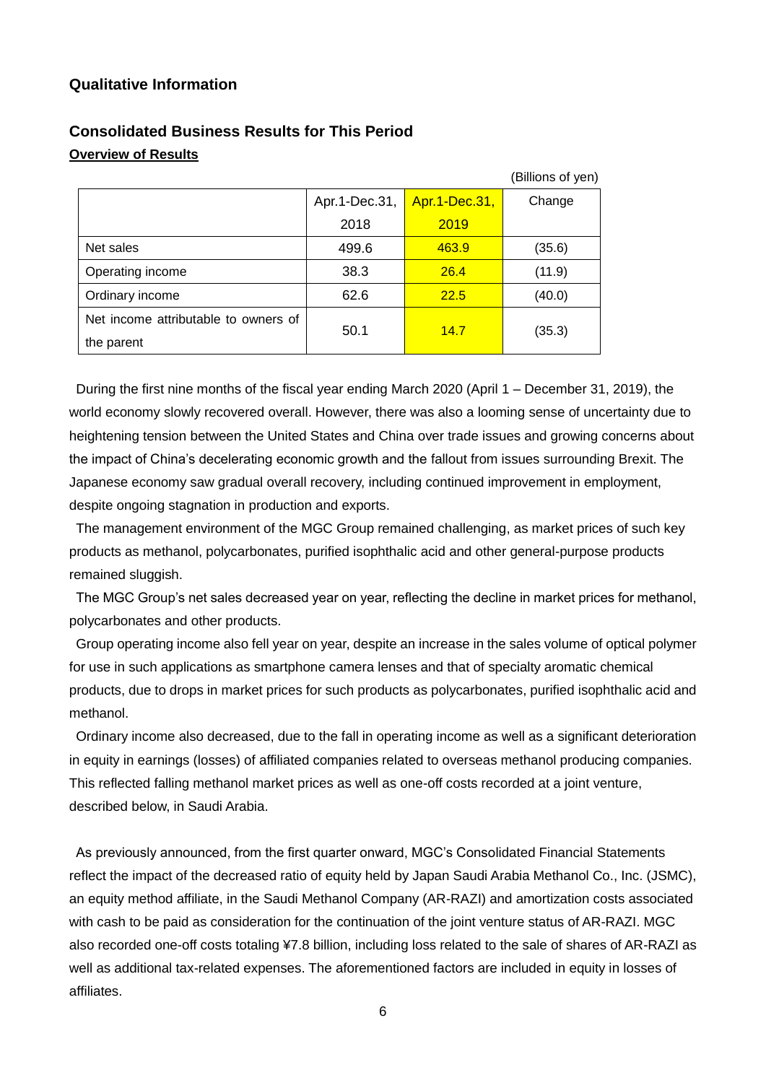# **Qualitative Information**

|                                      |               |               | (Billions of yen) |
|--------------------------------------|---------------|---------------|-------------------|
|                                      | Apr.1-Dec.31, | Apr.1-Dec.31, | Change            |
|                                      | 2018          | 2019          |                   |
| Net sales                            | 499.6         | 463.9         | (35.6)            |
| Operating income                     | 38.3          | 26.4          | (11.9)            |
| Ordinary income                      | 62.6          | 22.5          | (40.0)            |
| Net income attributable to owners of | 50.1          | 14.7          |                   |
| the parent                           |               |               | (35.3)            |

# **Consolidated Business Results for This Period Overview of Results**

During the first nine months of the fiscal year ending March 2020 (April 1 – December 31, 2019), the world economy slowly recovered overall. However, there was also a looming sense of uncertainty due to heightening tension between the United States and China over trade issues and growing concerns about the impact of China's decelerating economic growth and the fallout from issues surrounding Brexit. The Japanese economy saw gradual overall recovery, including continued improvement in employment, despite ongoing stagnation in production and exports.

The management environment of the MGC Group remained challenging, as market prices of such key products as methanol, polycarbonates, purified isophthalic acid and other general-purpose products remained sluggish.

The MGC Group's net sales decreased year on year, reflecting the decline in market prices for methanol, polycarbonates and other products.

Group operating income also fell year on year, despite an increase in the sales volume of optical polymer for use in such applications as smartphone camera lenses and that of specialty aromatic chemical products, due to drops in market prices for such products as polycarbonates, purified isophthalic acid and methanol.

Ordinary income also decreased, due to the fall in operating income as well as a significant deterioration in equity in earnings (losses) of affiliated companies related to overseas methanol producing companies. This reflected falling methanol market prices as well as one-off costs recorded at a joint venture, described below, in Saudi Arabia.

As previously announced, from the first quarter onward, MGC's Consolidated Financial Statements reflect the impact of the decreased ratio of equity held by Japan Saudi Arabia Methanol Co., Inc. (JSMC), an equity method affiliate, in the Saudi Methanol Company (AR-RAZI) and amortization costs associated with cash to be paid as consideration for the continuation of the joint venture status of AR-RAZI. MGC also recorded one-off costs totaling ¥7.8 billion, including loss related to the sale of shares of AR-RAZI as well as additional tax-related expenses. The aforementioned factors are included in equity in losses of affiliates.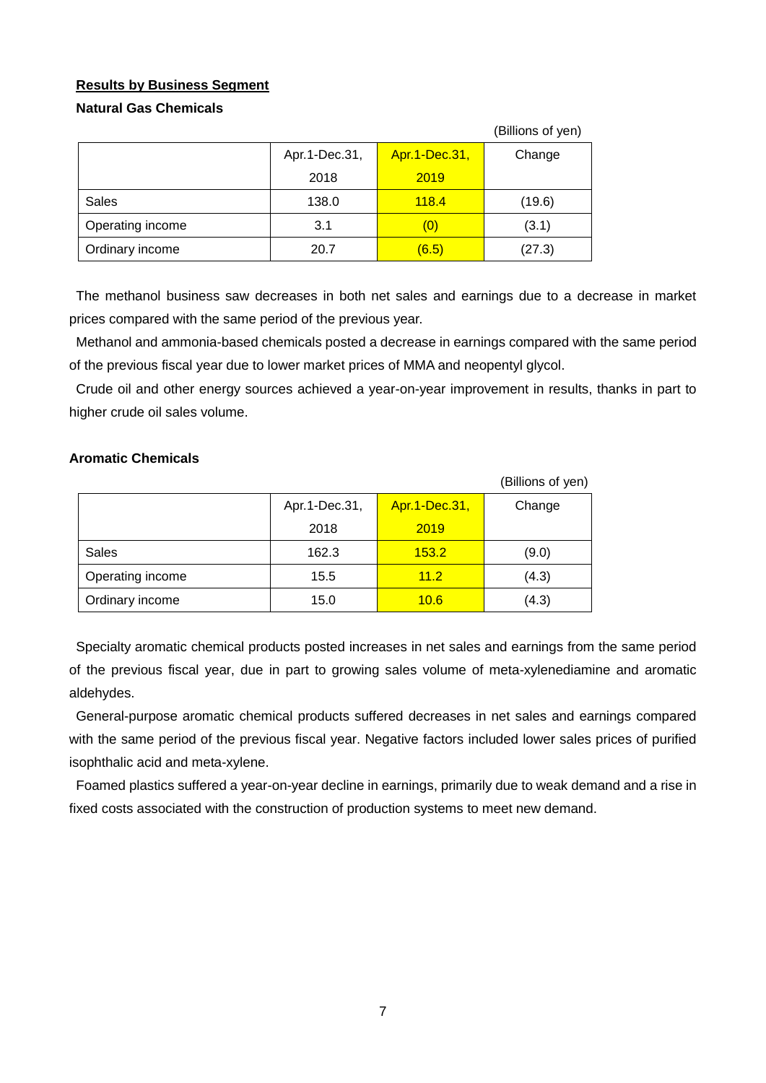# **Results by Business Segment**

## **Natural Gas Chemicals**

|                  |               |               | (Billions of yen) |
|------------------|---------------|---------------|-------------------|
|                  | Apr.1-Dec.31, | Apr.1-Dec.31, | Change            |
|                  | 2018          | 2019          |                   |
| Sales            | 138.0         | 118.4         | (19.6)            |
| Operating income | 3.1           | (0)           | (3.1)             |
| Ordinary income  | 20.7          | (6.5)         | (27.3)            |

The methanol business saw decreases in both net sales and earnings due to a decrease in market prices compared with the same period of the previous year.

Methanol and ammonia-based chemicals posted a decrease in earnings compared with the same period of the previous fiscal year due to lower market prices of MMA and neopentyl glycol.

Crude oil and other energy sources achieved a year-on-year improvement in results, thanks in part to higher crude oil sales volume.

## **Aromatic Chemicals**

|                  |               |               | (Billions of yen) |
|------------------|---------------|---------------|-------------------|
|                  | Apr.1-Dec.31, | Apr.1-Dec.31, | Change            |
|                  | 2018          | 2019          |                   |
| Sales            | 162.3         | 153.2         | (9.0)             |
| Operating income | 15.5          | 11.2          | (4.3)             |
| Ordinary income  | 15.0          | 10.6          | (4.3)             |

Specialty aromatic chemical products posted increases in net sales and earnings from the same period of the previous fiscal year, due in part to growing sales volume of meta-xylenediamine and aromatic aldehydes.

General-purpose aromatic chemical products suffered decreases in net sales and earnings compared with the same period of the previous fiscal year. Negative factors included lower sales prices of purified isophthalic acid and meta-xylene.

Foamed plastics suffered a year-on-year decline in earnings, primarily due to weak demand and a rise in fixed costs associated with the construction of production systems to meet new demand.